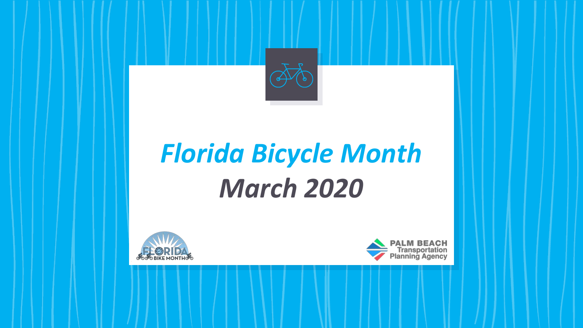

# *Florida Bicycle Month March 2020*



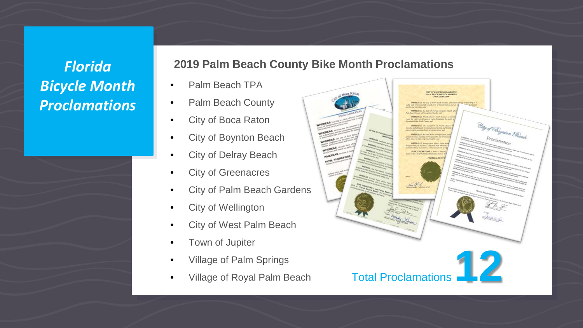### *Florida Bicycle Month Proclamations*

#### **2019 Palm Beach County Bike Month Proclamations**

- Palm Beach TPA
- Palm Beach County
- City of Boca Raton
- City of Boynton Beach
- **City of Delray Beach**
- City of Greenacres
- City of Palm Beach Gardens
- City of Wellington
- City of West Palm Beach
- Town of Jupiter
- Village of Palm Springs
- 

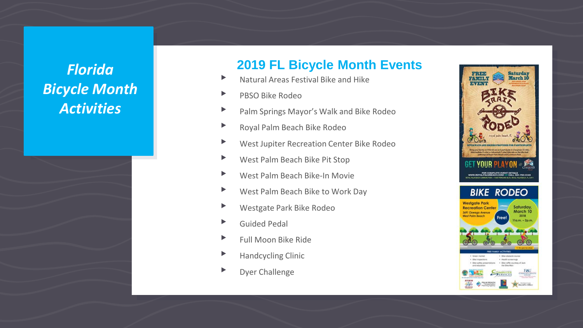## *Florida Bicycle Month Activities*

#### **2019 FL Bicycle Month Events**

- ▸ Natural Areas Festival Bike and Hike
- ▸ PBSO Bike Rodeo
- ▸ Palm Springs Mayor's Walk and Bike Rodeo
- ▶ Royal Palm Beach Bike Rodeo
- ▸ West Jupiter Recreation Center Bike Rodeo
- ▸ West Palm Beach Bike Pit Stop
- ▸ West Palm Beach Bike-In Movie
- ▸ West Palm Beach Bike to Work Day
- ▸ Westgate Park Bike Rodeo
- ▸ Guided Pedal
- ▸ Full Moon Bike Ride
- ▸ Handcycling Clinic
- ▸ Dyer Challenge

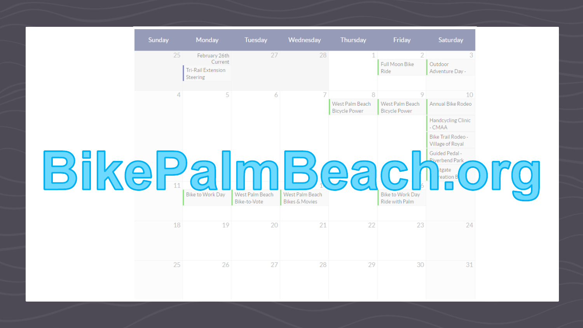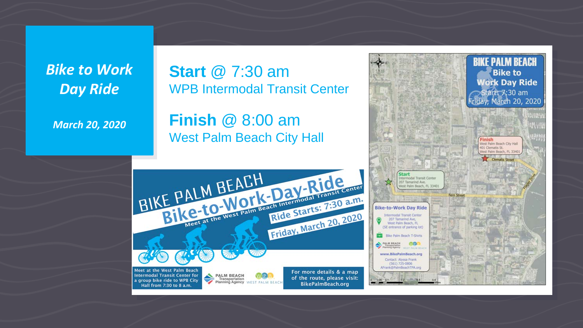*Bike to Work Day Ride*

*March 20, 2020*

**Start** @ 7:30 am WPB Intermodal Transit Center

**Finish** @ 8:00 am West Palm Beach City Hall